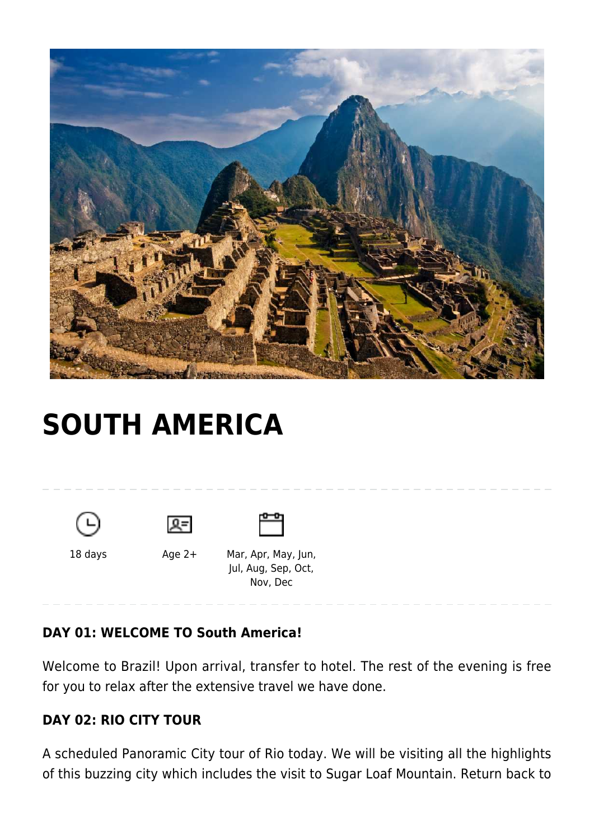

# **[SOUTH AMERICA](https://www.mylastminutetrip.com/tour/south-america/)**







18 days <br>Age 2+ Mar, Apr, May, Jun,

 Jul, Aug, Sep, Oct, Nov, Dec

# **DAY 01: WELCOME TO South America!**

Welcome to Brazil! Upon arrival, transfer to hotel. The rest of the evening is free for you to relax after the extensive travel we have done.

# **DAY 02: RIO CITY TOUR**

A scheduled Panoramic City tour of Rio today. We will be visiting all the highlights of this buzzing city which includes the visit to Sugar Loaf Mountain. Return back to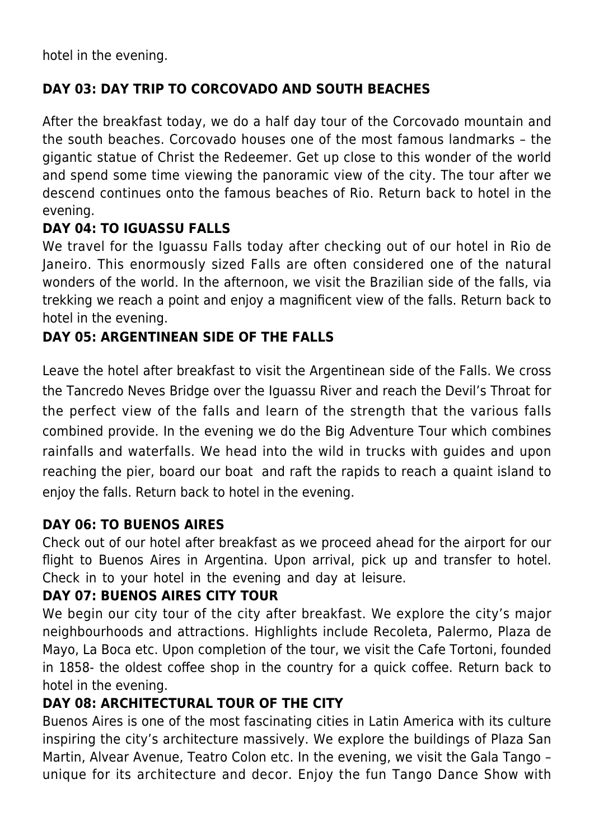hotel in the evening.

#### **DAY 03: DAY TRIP TO CORCOVADO AND SOUTH BEACHES**

After the breakfast today, we do a half day tour of the Corcovado mountain and the south beaches. Corcovado houses one of the most famous landmarks – the gigantic statue of Christ the Redeemer. Get up close to this wonder of the world and spend some time viewing the panoramic view of the city. The tour after we descend continues onto the famous beaches of Rio. Return back to hotel in the evening.

#### **DAY 04: TO IGUASSU FALLS**

We travel for the Iguassu Falls today after checking out of our hotel in Rio de Janeiro. This enormously sized Falls are often considered one of the natural wonders of the world. In the afternoon, we visit the Brazilian side of the falls, via trekking we reach a point and enjoy a magnificent view of the falls. Return back to hotel in the evening.

#### **DAY 05: ARGENTINEAN SIDE OF THE FALLS**

Leave the hotel after breakfast to visit the Argentinean side of the Falls. We cross the Tancredo Neves Bridge over the Iguassu River and reach the Devil's Throat for the perfect view of the falls and learn of the strength that the various falls combined provide. In the evening we do the Big Adventure Tour which combines rainfalls and waterfalls. We head into the wild in trucks with guides and upon reaching the pier, board our boat and raft the rapids to reach a quaint island to enjoy the falls. Return back to hotel in the evening.

#### **DAY 06: TO BUENOS AIRES**

Check out of our hotel after breakfast as we proceed ahead for the airport for our flight to Buenos Aires in Argentina. Upon arrival, pick up and transfer to hotel. Check in to your hotel in the evening and day at leisure.

#### **DAY 07: BUENOS AIRES CITY TOUR**

We begin our city tour of the city after breakfast. We explore the city's major neighbourhoods and attractions. Highlights include Recoleta, Palermo, Plaza de Mayo, La Boca etc. Upon completion of the tour, we visit the Cafe Tortoni, founded in 1858- the oldest coffee shop in the country for a quick coffee. Return back to hotel in the evening.

#### **DAY 08: ARCHITECTURAL TOUR OF THE CITY**

Buenos Aires is one of the most fascinating cities in Latin America with its culture inspiring the city's architecture massively. We explore the buildings of Plaza San Martin, Alvear Avenue, Teatro Colon etc. In the evening, we visit the Gala Tango – unique for its architecture and decor. Enjoy the fun Tango Dance Show with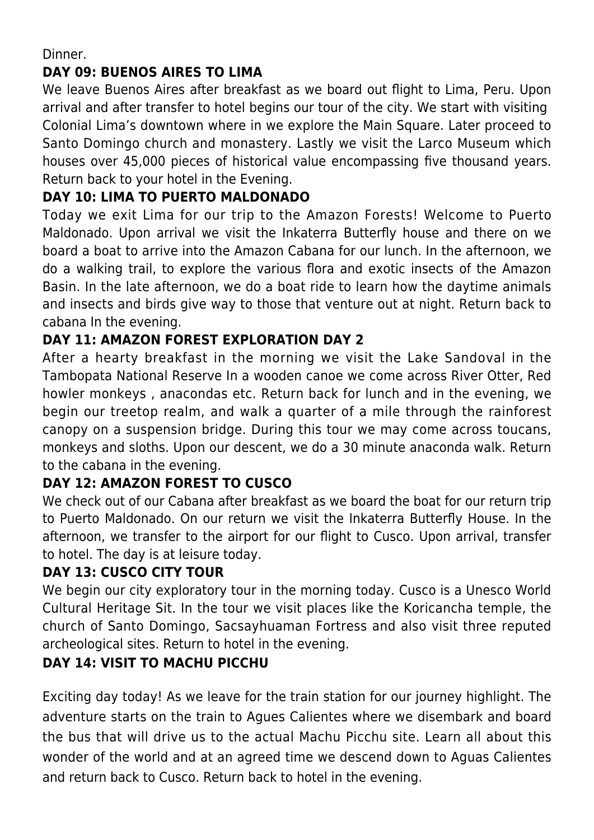Dinner.

#### **DAY 09: BUENOS AIRES TO LIMA**

We leave Buenos Aires after breakfast as we board out flight to Lima, Peru. Upon arrival and after transfer to hotel begins our tour of the city. We start with visiting Colonial Lima's downtown where in we explore the Main Square. Later proceed to Santo Domingo church and monastery. Lastly we visit the Larco Museum which houses over 45,000 pieces of historical value encompassing five thousand years. Return back to your hotel in the Evening.

## **DAY 10: LIMA TO PUERTO MALDONADO**

Today we exit Lima for our trip to the Amazon Forests! Welcome to Puerto Maldonado. Upon arrival we visit the Inkaterra Butterfly house and there on we board a boat to arrive into the Amazon Cabana for our lunch. In the afternoon, we do a walking trail, to explore the various flora and exotic insects of the Amazon Basin. In the late afternoon, we do a boat ride to learn how the daytime animals and insects and birds give way to those that venture out at night. Return back to cabana In the evening.

#### **DAY 11: AMAZON FOREST EXPLORATION DAY 2**

After a hearty breakfast in the morning we visit the Lake Sandoval in the Tambopata National Reserve In a wooden canoe we come across River Otter, Red howler monkeys , anacondas etc. Return back for lunch and in the evening, we begin our treetop realm, and walk a quarter of a mile through the rainforest canopy on a suspension bridge. During this tour we may come across toucans, monkeys and sloths. Upon our descent, we do a 30 minute anaconda walk. Return to the cabana in the evening.

# **DAY 12: AMAZON FOREST TO CUSCO**

We check out of our Cabana after breakfast as we board the boat for our return trip to Puerto Maldonado. On our return we visit the Inkaterra Butterfly House. In the afternoon, we transfer to the airport for our flight to Cusco. Upon arrival, transfer to hotel. The day is at leisure today.

#### **DAY 13: CUSCO CITY TOUR**

We begin our city exploratory tour in the morning today. Cusco is a Unesco World Cultural Heritage Sit. In the tour we visit places like the Koricancha temple, the church of Santo Domingo, Sacsayhuaman Fortress and also visit three reputed archeological sites. Return to hotel in the evening.

# **DAY 14: VISIT TO MACHU PICCHU**

Exciting day today! As we leave for the train station for our journey highlight. The adventure starts on the train to Agues Calientes where we disembark and board the bus that will drive us to the actual Machu Picchu site. Learn all about this wonder of the world and at an agreed time we descend down to Aguas Calientes and return back to Cusco. Return back to hotel in the evening.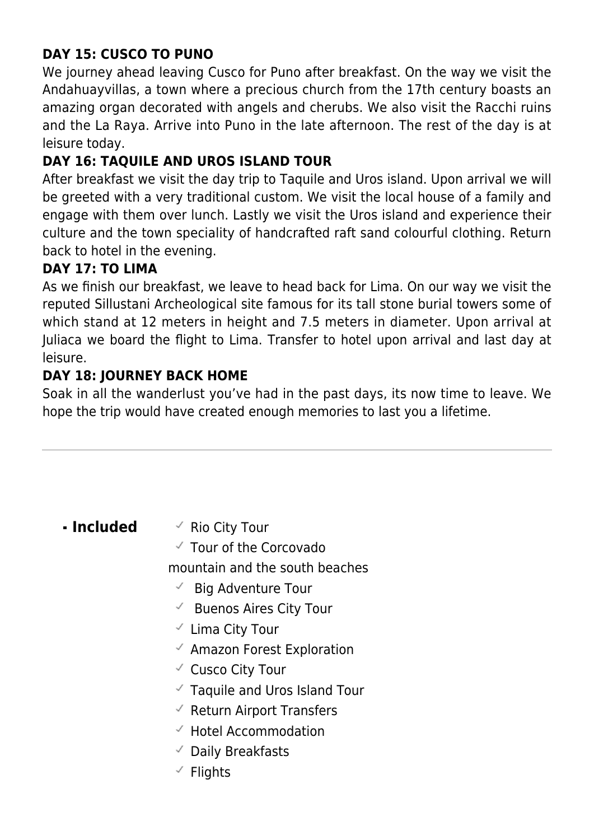# **DAY 15: CUSCO TO PUNO**

We journey ahead leaving Cusco for Puno after breakfast. On the way we visit the Andahuayvillas, a town where a precious church from the 17th century boasts an amazing organ decorated with angels and cherubs. We also visit the Racchi ruins and the La Raya. Arrive into Puno in the late afternoon. The rest of the day is at leisure today.

## **DAY 16: TAQUILE AND UROS ISLAND TOUR**

After breakfast we visit the day trip to Taquile and Uros island. Upon arrival we will be greeted with a very traditional custom. We visit the local house of a family and engage with them over lunch. Lastly we visit the Uros island and experience their culture and the town speciality of handcrafted raft sand colourful clothing. Return back to hotel in the evening.

#### **DAY 17: TO LIMA**

As we finish our breakfast, we leave to head back for Lima. On our way we visit the reputed Sillustani Archeological site famous for its tall stone burial towers some of which stand at 12 meters in height and 7.5 meters in diameter. Upon arrival at Juliaca we board the flight to Lima. Transfer to hotel upon arrival and last day at leisure.

#### **DAY 18: JOURNEY BACK HOME**

Soak in all the wanderlust you've had in the past days, its now time to leave. We hope the trip would have created enough memories to last you a lifetime.

- **Included**  $\checkmark$  Rio City Tour
	- $\checkmark$  Tour of the Corcovado

mountain and the south beaches

- $\checkmark$  Big Adventure Tour
- $\checkmark$  Buenos Aires City Tour
- $\checkmark$  Lima City Tour
- $\checkmark$  Amazon Forest Exploration
- Cusco City Tour
- $\checkmark$  Taquile and Uros Island Tour
- $\checkmark$  Return Airport Transfers
- $\checkmark$  Hotel Accommodation
- $\checkmark$  Daily Breakfasts
- $\checkmark$  Flights